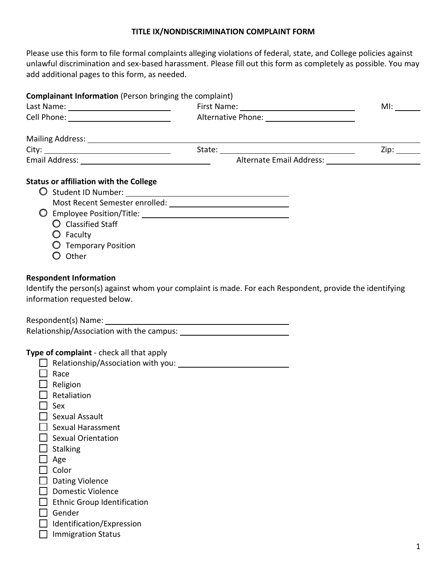## **TITLE IX/NONDISCRIMINATION COMPLAINT FORM**

Please use this form to file formal complaints alleging violations of federal, state, and College policies against unlawful discrimination and sex-based harassment. Please fill out this form as completely as possible. You may add additional pages to this form, as needed.

| <b>Complainant Information</b> (Person bringing the complaint)                                                                               |                                                                                                          |     |
|----------------------------------------------------------------------------------------------------------------------------------------------|----------------------------------------------------------------------------------------------------------|-----|
|                                                                                                                                              |                                                                                                          | Ml: |
|                                                                                                                                              | Alternative Phone: Alternative Phone:                                                                    |     |
|                                                                                                                                              |                                                                                                          |     |
|                                                                                                                                              |                                                                                                          |     |
|                                                                                                                                              |                                                                                                          |     |
| <b>Status or affiliation with the College</b><br>$\bigcirc$ Classified Staff<br>$\bigcirc$ Faculty<br><b>O</b> Temporary Position<br>O Other |                                                                                                          |     |
| <b>Respondent Information</b><br>information requested below.                                                                                | Identify the person(s) against whom your complaint is made. For each Respondent, provide the identifying |     |
|                                                                                                                                              |                                                                                                          |     |
| Type of complaint - check all that apply<br>Race                                                                                             |                                                                                                          |     |
| $\Box$ Religion<br>Retaliation                                                                                                               |                                                                                                          |     |
| Sex                                                                                                                                          |                                                                                                          |     |
| Sexual Assault<br>Sexual Harassment                                                                                                          |                                                                                                          |     |
| <b>Sexual Orientation</b>                                                                                                                    |                                                                                                          |     |
| <b>Stalking</b>                                                                                                                              |                                                                                                          |     |
| Age                                                                                                                                          |                                                                                                          |     |
| Color                                                                                                                                        |                                                                                                          |     |
| <b>Dating Violence</b>                                                                                                                       |                                                                                                          |     |
| <b>Domestic Violence</b>                                                                                                                     |                                                                                                          |     |
| <b>Ethnic Group Identification</b>                                                                                                           |                                                                                                          |     |
| Gender                                                                                                                                       |                                                                                                          |     |
| Identification/Expression                                                                                                                    |                                                                                                          |     |
| <b>Immigration Status</b>                                                                                                                    |                                                                                                          |     |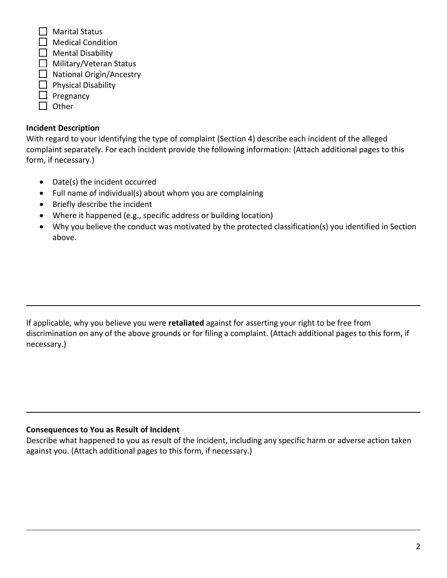$\Box$  Marital Status

- $\Box$  Medical Condition
- $\Box$  Mental Disability
- $\Box$  Military/Veteran Status
- $\Box$  National Origin/Ancestry
- $\Box$  Physical Disability
- $\Box$  Pregnancy
- $\Box$  Other

# **Incident Description**

With regard to your identifying the type of complaint (Section 4) describe each incident of the alleged complaint separately. For each incident provide the following information: (Attach additional pages to this form, if necessary.)

- Date(s) the incident occurred
- Full name of individual(s) about whom you are complaining
- Briefly describe the incident
- Where it happened (e.g., specific address or building location)
- Why you believe the conduct was motivated by the protected classification(s) you identified in Section above.

If applicable, why you believe you were **retaliated** against for asserting your right to be free from discrimination on any of the above grounds or for filing a complaint. (Attach additional pages to this form, if necessary.)

# **Consequences to You as Result of Incident**

Describe what happened to you as result of the incident, including any specific harm or adverse action taken against you. (Attach additional pages to this form, if necessary.)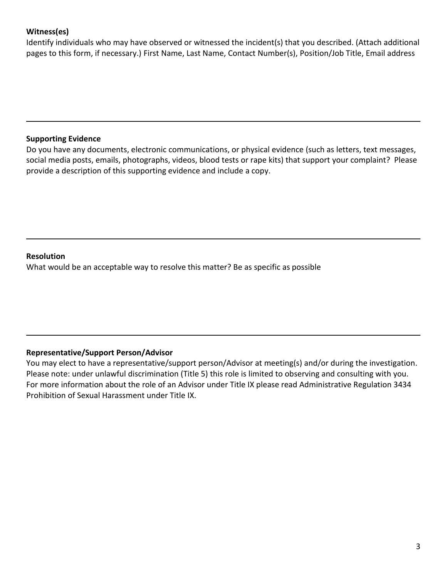## **Witness(es)**

Identify individuals who may have observed or witnessed the incident(s) that you described. (Attach additional pages to this form, if necessary.) First Name, Last Name, Contact Number(s), Position/Job Title, Email address

### **Supporting Evidence**

Do you have any documents, electronic communications, or physical evidence (such as letters, text messages, social media posts, emails, photographs, videos, blood tests or rape kits) that support your complaint? Please provide a description of this supporting evidence and include a copy.

### **Resolution**

What would be an acceptable way to resolve this matter? Be as specific as possible

## **Representative/Support Person/Advisor**

You may elect to have a representative/support person/Advisor at meeting(s) and/or during the investigation. Please note: under unlawful discrimination (Title 5) this role is limited to observing and consulting with you. For more information about the role of an Advisor under Title IX please read Administrative Regulation 3434 Prohibition of Sexual Harassment under Title IX.